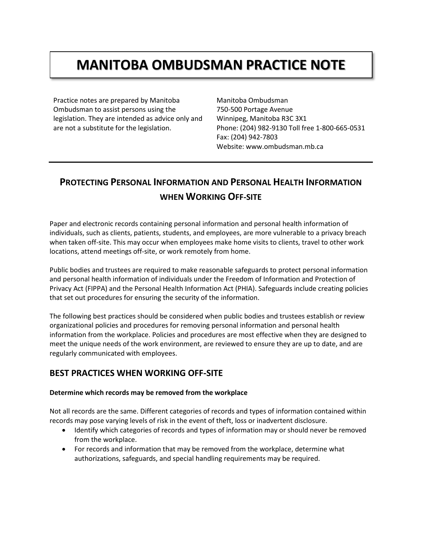# **MANITOBA OMBUDSMAN PRACTICE NOTE**

Practice notes are prepared by Manitoba Ombudsman to assist persons using the legislation. They are intended as advice only and are not a substitute for the legislation.

Manitoba Ombudsman 750-500 Portage Avenue Winnipeg, Manitoba R3C 3X1 Phone: (204) 982-9130 Toll free 1-800-665-0531 Fax: (204) 942-7803 Website: www.ombudsman.mb.ca

## **PROTECTING PERSONAL INFORMATION AND PERSONAL HEALTH INFORMATION WHEN WORKING OFF-SITE**

Paper and electronic records containing personal information and personal health information of individuals, such as clients, patients, students, and employees, are more vulnerable to a privacy breach when taken off-site. This may occur when employees make home visits to clients, travel to other work locations, attend meetings off-site, or work remotely from home.

Public bodies and trustees are required to make reasonable safeguards to protect personal information and personal health information of individuals under the Freedom of Information and Protection of Privacy Act (FIPPA) and the Personal Health Information Act (PHIA). Safeguards include creating policies that set out procedures for ensuring the security of the information.

The following best practices should be considered when public bodies and trustees establish or review organizational policies and procedures for removing personal information and personal health information from the workplace. Policies and procedures are most effective when they are designed to meet the unique needs of the work environment, are reviewed to ensure they are up to date, and are regularly communicated with employees.

### **BEST PRACTICES WHEN WORKING OFF-SITE**

#### **Determine which records may be removed from the workplace**

Not all records are the same. Different categories of records and types of information contained within records may pose varying levels of risk in the event of theft, loss or inadvertent disclosure.

- Identify which categories of records and types of information may or should never be removed from the workplace.
- For records and information that may be removed from the workplace, determine what authorizations, safeguards, and special handling requirements may be required.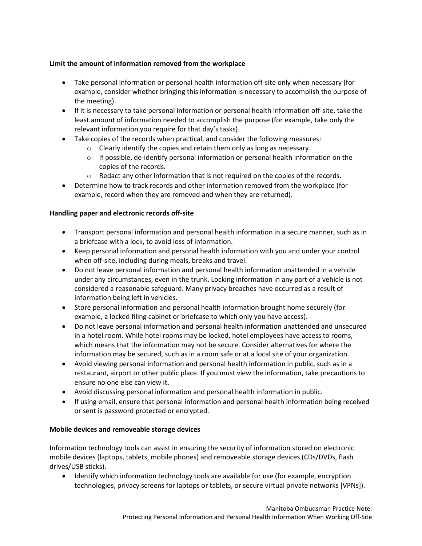#### **Limit the amount of information removed from the workplace**

- Take personal information or personal health information off-site only when necessary (for example, consider whether bringing this information is necessary to accomplish the purpose of the meeting).
- If it is necessary to take personal information or personal health information off-site, take the least amount of information needed to accomplish the purpose (for example, take only the relevant information you require for that day's tasks).
- Take copies of the records when practical, and consider the following measures:
	- o Clearly identify the copies and retain them only as long as necessary.
	- $\circ$  If possible, de-identify personal information or personal health information on the copies of the records.
	- $\circ$  Redact any other information that is not required on the copies of the records.
- Determine how to track records and other information removed from the workplace (for example, record when they are removed and when they are returned).

#### **Handling paper and electronic records off-site**

- Transport personal information and personal health information in a secure manner, such as in a briefcase with a lock, to avoid loss of information.
- Keep personal information and personal health information with you and under your control when off-site, including during meals, breaks and travel.
- Do not leave personal information and personal health information unattended in a vehicle under any circumstances, even in the trunk. Locking information in any part of a vehicle is not considered a reasonable safeguard. Many privacy breaches have occurred as a result of information being left in vehicles.
- Store personal information and personal health information brought home securely (for example, a locked filing cabinet or briefcase to which only you have access).
- Do not leave personal information and personal health information unattended and unsecured in a hotel room. While hotel rooms may be locked, hotel employees have access to rooms, which means that the information may not be secure. Consider alternatives for where the information may be secured, such as in a room safe or at a local site of your organization.
- Avoid viewing personal information and personal health information in public, such as in a restaurant, airport or other public place. If you must view the information, take precautions to ensure no one else can view it.
- Avoid discussing personal information and personal health information in public.
- If using email, ensure that personal information and personal health information being received or sent is password protected or encrypted.

#### **Mobile devices and removeable storage devices**

Information technology tools can assist in ensuring the security of information stored on electronic mobile devices (laptops, tablets, mobile phones) and removeable storage devices (CDs/DVDs, flash drives/USB sticks).

• Identify which information technology tools are available for use (for example, encryption technologies, privacy screens for laptops or tablets, or secure virtual private networks [VPNs]).